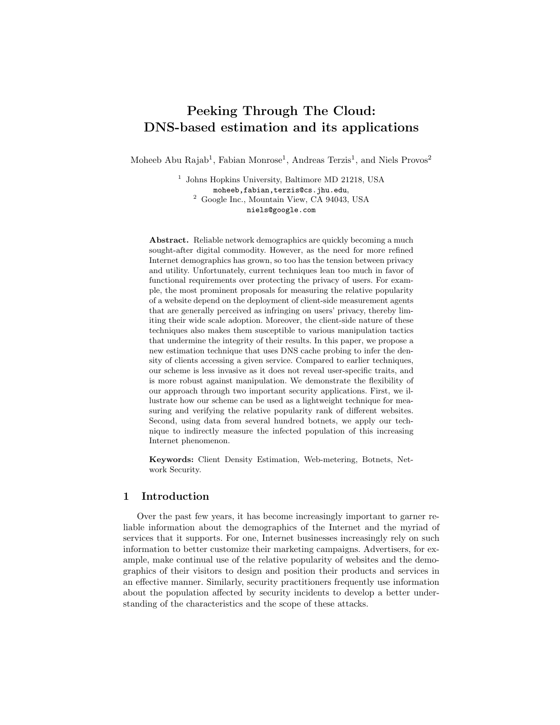# Peeking Through The Cloud: DNS-based estimation and its applications

Moheeb Abu Rajab<sup>1</sup>, Fabian Monrose<sup>1</sup>, Andreas Terzis<sup>1</sup>, and Niels Provos<sup>2</sup>

1 Johns Hopkins University, Baltimore MD 21218, USA moheeb,fabian,terzis@cs.jhu.edu, <sup>2</sup> Google Inc., Mountain View, CA 94043, USA niels@google.com

Abstract. Reliable network demographics are quickly becoming a much sought-after digital commodity. However, as the need for more refined Internet demographics has grown, so too has the tension between privacy and utility. Unfortunately, current techniques lean too much in favor of functional requirements over protecting the privacy of users. For example, the most prominent proposals for measuring the relative popularity of a website depend on the deployment of client-side measurement agents that are generally perceived as infringing on users' privacy, thereby limiting their wide scale adoption. Moreover, the client-side nature of these techniques also makes them susceptible to various manipulation tactics that undermine the integrity of their results. In this paper, we propose a new estimation technique that uses DNS cache probing to infer the density of clients accessing a given service. Compared to earlier techniques, our scheme is less invasive as it does not reveal user-specific traits, and is more robust against manipulation. We demonstrate the flexibility of our approach through two important security applications. First, we illustrate how our scheme can be used as a lightweight technique for measuring and verifying the relative popularity rank of different websites. Second, using data from several hundred botnets, we apply our technique to indirectly measure the infected population of this increasing Internet phenomenon.

Keywords: Client Density Estimation, Web-metering, Botnets, Network Security.

# 1 Introduction

Over the past few years, it has become increasingly important to garner reliable information about the demographics of the Internet and the myriad of services that it supports. For one, Internet businesses increasingly rely on such information to better customize their marketing campaigns. Advertisers, for example, make continual use of the relative popularity of websites and the demographics of their visitors to design and position their products and services in an effective manner. Similarly, security practitioners frequently use information about the population affected by security incidents to develop a better understanding of the characteristics and the scope of these attacks.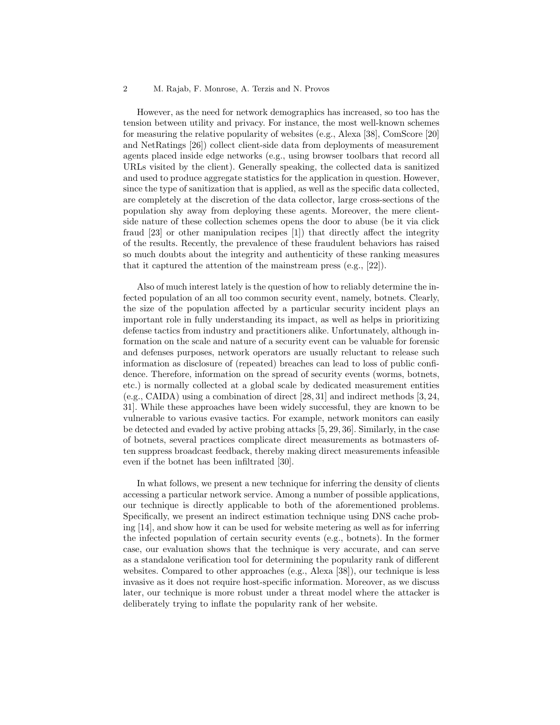#### 2 M. Rajab, F. Monrose, A. Terzis and N. Provos

However, as the need for network demographics has increased, so too has the tension between utility and privacy. For instance, the most well-known schemes for measuring the relative popularity of websites (e.g., Alexa [38], ComScore [20] and NetRatings [26]) collect client-side data from deployments of measurement agents placed inside edge networks (e.g., using browser toolbars that record all URLs visited by the client). Generally speaking, the collected data is sanitized and used to produce aggregate statistics for the application in question. However, since the type of sanitization that is applied, as well as the specific data collected, are completely at the discretion of the data collector, large cross-sections of the population shy away from deploying these agents. Moreover, the mere clientside nature of these collection schemes opens the door to abuse (be it via click fraud [23] or other manipulation recipes [1]) that directly affect the integrity of the results. Recently, the prevalence of these fraudulent behaviors has raised so much doubts about the integrity and authenticity of these ranking measures that it captured the attention of the mainstream press (e.g., [22]).

Also of much interest lately is the question of how to reliably determine the infected population of an all too common security event, namely, botnets. Clearly, the size of the population affected by a particular security incident plays an important role in fully understanding its impact, as well as helps in prioritizing defense tactics from industry and practitioners alike. Unfortunately, although information on the scale and nature of a security event can be valuable for forensic and defenses purposes, network operators are usually reluctant to release such information as disclosure of (repeated) breaches can lead to loss of public confidence. Therefore, information on the spread of security events (worms, botnets, etc.) is normally collected at a global scale by dedicated measurement entities (e.g., CAIDA) using a combination of direct [28, 31] and indirect methods [3, 24, 31]. While these approaches have been widely successful, they are known to be vulnerable to various evasive tactics. For example, network monitors can easily be detected and evaded by active probing attacks [5, 29, 36]. Similarly, in the case of botnets, several practices complicate direct measurements as botmasters often suppress broadcast feedback, thereby making direct measurements infeasible even if the botnet has been infiltrated [30].

In what follows, we present a new technique for inferring the density of clients accessing a particular network service. Among a number of possible applications, our technique is directly applicable to both of the aforementioned problems. Specifically, we present an indirect estimation technique using DNS cache probing [14], and show how it can be used for website metering as well as for inferring the infected population of certain security events (e.g., botnets). In the former case, our evaluation shows that the technique is very accurate, and can serve as a standalone verification tool for determining the popularity rank of different websites. Compared to other approaches (e.g., Alexa [38]), our technique is less invasive as it does not require host-specific information. Moreover, as we discuss later, our technique is more robust under a threat model where the attacker is deliberately trying to inflate the popularity rank of her website.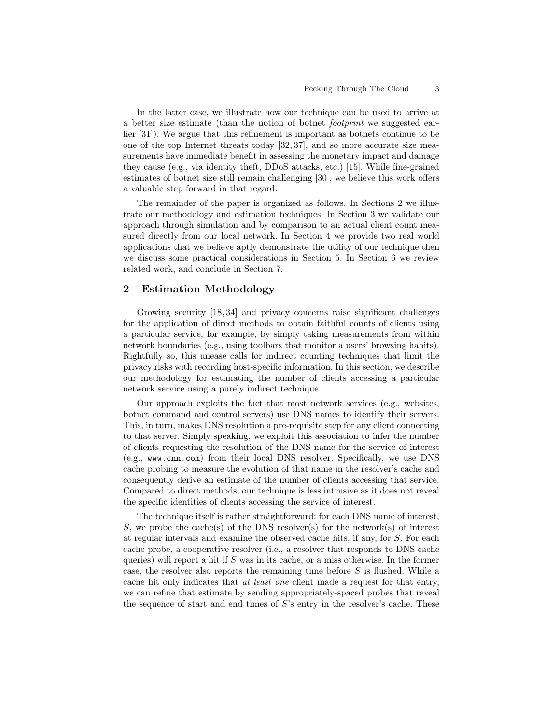In the latter case, we illustrate how our technique can be used to arrive at a better size estimate (than the notion of botnet footprint we suggested earlier [31]). We argue that this refinement is important as botnets continue to be one of the top Internet threats today [32, 37], and so more accurate size measurements have immediate benefit in assessing the monetary impact and damage they cause (e.g., via identity theft, DDoS attacks, etc.) [15]. While fine-grained estimates of botnet size still remain challenging [30], we believe this work offers a valuable step forward in that regard.

The remainder of the paper is organized as follows. In Sections 2 we illustrate our methodology and estimation techniques. In Section 3 we validate our approach through simulation and by comparison to an actual client count measured directly from our local network. In Section 4 we provide two real world applications that we believe aptly demonstrate the utility of our technique then we discuss some practical considerations in Section 5. In Section 6 we review related work, and conclude in Section 7.

## 2 Estimation Methodology

Growing security [18, 34] and privacy concerns raise significant challenges for the application of direct methods to obtain faithful counts of clients using a particular service, for example, by simply taking measurements from within network boundaries (e.g., using toolbars that monitor a users' browsing habits). Rightfully so, this unease calls for indirect counting techniques that limit the privacy risks with recording host-specific information. In this section, we describe our methodology for estimating the number of clients accessing a particular network service using a purely indirect technique.

Our approach exploits the fact that most network services (e.g., websites, botnet command and control servers) use DNS names to identify their servers. This, in turn, makes DNS resolution a pre-requisite step for any client connecting to that server. Simply speaking, we exploit this association to infer the number of clients requesting the resolution of the DNS name for the service of interest (e.g., www.cnn.com) from their local DNS resolver. Specifically, we use DNS cache probing to measure the evolution of that name in the resolver's cache and consequently derive an estimate of the number of clients accessing that service. Compared to direct methods, our technique is less intrusive as it does not reveal the specific identities of clients accessing the service of interest.

The technique itself is rather straightforward: for each DNS name of interest, S, we probe the cache(s) of the DNS resolver(s) for the network(s) of interest at regular intervals and examine the observed cache hits, if any, for S. For each cache probe, a cooperative resolver (i.e., a resolver that responds to DNS cache queries) will report a hit if S was in its cache, or a miss otherwise. In the former case, the resolver also reports the remaining time before  $S$  is flushed. While a cache hit only indicates that at least one client made a request for that entry, we can refine that estimate by sending appropriately-spaced probes that reveal the sequence of start and end times of  $S$ 's entry in the resolver's cache. These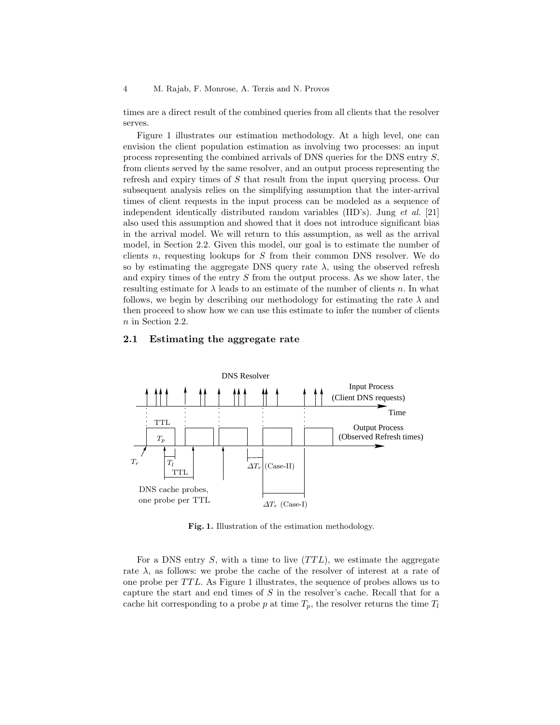times are a direct result of the combined queries from all clients that the resolver serves.

Figure 1 illustrates our estimation methodology. At a high level, one can envision the client population estimation as involving two processes: an input process representing the combined arrivals of DNS queries for the DNS entry S, from clients served by the same resolver, and an output process representing the refresh and expiry times of S that result from the input querying process. Our subsequent analysis relies on the simplifying assumption that the inter-arrival times of client requests in the input process can be modeled as a sequence of independent identically distributed random variables (IID's). Jung et al. [21] also used this assumption and showed that it does not introduce significant bias in the arrival model. We will return to this assumption, as well as the arrival model, in Section 2.2. Given this model, our goal is to estimate the number of clients n, requesting lookups for S from their common DNS resolver. We do so by estimating the aggregate DNS query rate  $\lambda$ , using the observed refresh and expiry times of the entry S from the output process. As we show later, the resulting estimate for  $\lambda$  leads to an estimate of the number of clients n. In what follows, we begin by describing our methodology for estimating the rate  $\lambda$  and then proceed to show how we can use this estimate to infer the number of clients n in Section 2.2.

## 2.1 Estimating the aggregate rate



Fig. 1. Illustration of the estimation methodology.

For a DNS entry  $S$ , with a time to live  $(TTL)$ , we estimate the aggregate rate  $\lambda$ , as follows: we probe the cache of the resolver of interest at a rate of one probe per  $TTL$ . As Figure 1 illustrates, the sequence of probes allows us to capture the start and end times of S in the resolver's cache. Recall that for a cache hit corresponding to a probe p at time  $T_p$ , the resolver returns the time  $T_l$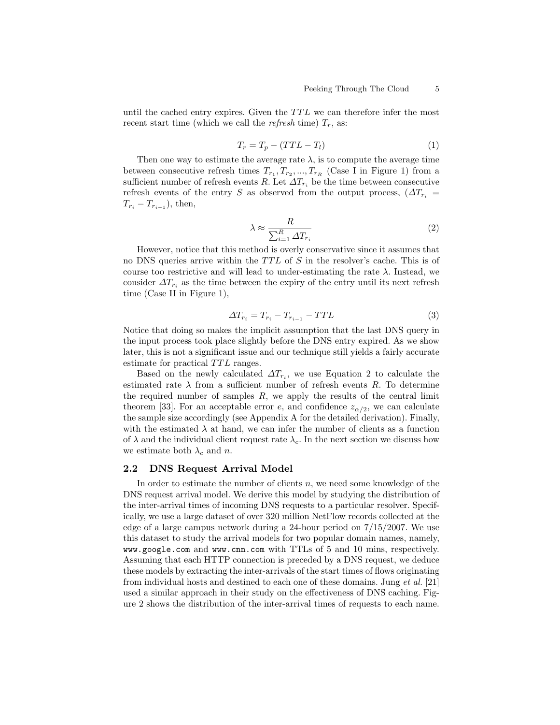until the cached entry expires. Given the  $TTL$  we can therefore infer the most recent start time (which we call the *refresh* time)  $T_r$ , as:

$$
T_r = T_p - (TTL - T_l) \tag{1}
$$

Then one way to estimate the average rate  $\lambda$ , is to compute the average time between consecutive refresh times  $T_{r_1}, T_{r_2},..., T_{r_R}$  (Case I in Figure 1) from a sufficient number of refresh events R. Let  $\Delta T_{r_i}$  be the time between consecutive refresh events of the entry S as observed from the output process,  $(\Delta T_{r_i} =$  $T_{r_i}-T_{r_{i-1}}$ ), then,

$$
\lambda \approx \frac{R}{\sum_{i=1}^{R} \Delta T_{r_i}} \tag{2}
$$

However, notice that this method is overly conservative since it assumes that no DNS queries arrive within the  $TTL$  of S in the resolver's cache. This is of course too restrictive and will lead to under-estimating the rate  $\lambda$ . Instead, we consider  $\Delta T_{r_i}$  as the time between the expiry of the entry until its next refresh time (Case II in Figure 1),

$$
\Delta T_{r_i} = T_{r_i} - T_{r_{i-1}} - TTL \tag{3}
$$

Notice that doing so makes the implicit assumption that the last DNS query in the input process took place slightly before the DNS entry expired. As we show later, this is not a significant issue and our technique still yields a fairly accurate estimate for practical TTL ranges.

Based on the newly calculated  $\Delta T_{r_i}$ , we use Equation 2 to calculate the estimated rate  $\lambda$  from a sufficient number of refresh events R. To determine the required number of samples  $R$ , we apply the results of the central limit theorem [33]. For an acceptable error e, and confidence  $z_{\alpha/2}$ , we can calculate the sample size accordingly (see Appendix A for the detailed derivation). Finally, with the estimated  $\lambda$  at hand, we can infer the number of clients as a function of  $\lambda$  and the individual client request rate  $\lambda_c$ . In the next section we discuss how we estimate both  $\lambda_c$  and n.

## 2.2 DNS Request Arrival Model

In order to estimate the number of clients  $n$ , we need some knowledge of the DNS request arrival model. We derive this model by studying the distribution of the inter-arrival times of incoming DNS requests to a particular resolver. Specifically, we use a large dataset of over 320 million NetFlow records collected at the edge of a large campus network during a 24-hour period on 7/15/2007. We use this dataset to study the arrival models for two popular domain names, namely, www.google.com and www.cnn.com with TTLs of 5 and 10 mins, respectively. Assuming that each HTTP connection is preceded by a DNS request, we deduce these models by extracting the inter-arrivals of the start times of flows originating from individual hosts and destined to each one of these domains. Jung et al. [21] used a similar approach in their study on the effectiveness of DNS caching. Figure 2 shows the distribution of the inter-arrival times of requests to each name.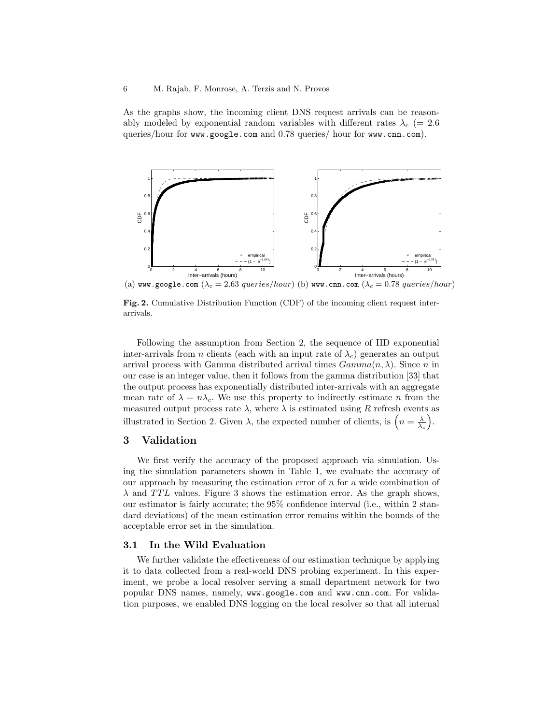As the graphs show, the incoming client DNS request arrivals can be reasonably modeled by exponential random variables with different rates  $\lambda_c$  (= 2.6) queries/hour for www.google.com and 0.78 queries/ hour for www.cnn.com).



(a) www.google.com ( $\lambda_c = 2.63$  queries/hour) (b) www.cnn.com ( $\lambda_c = 0.78$  queries/hour)

Fig. 2. Cumulative Distribution Function (CDF) of the incoming client request interarrivals.

Following the assumption from Section 2, the sequence of IID exponential inter-arrivals from n clients (each with an input rate of  $\lambda_c$ ) generates an output arrival process with Gamma distributed arrival times  $Gamma(n, \lambda)$ . Since n in our case is an integer value, then it follows from the gamma distribution [33] that the output process has exponentially distributed inter-arrivals with an aggregate mean rate of  $\lambda = n\lambda_c$ . We use this property to indirectly estimate n from the measured output process rate  $\lambda$ , where  $\lambda$  is estimated using R refresh events as illustrated in Section 2. Given  $\lambda$ , the expected number of clients, is  $\left(n = \frac{\lambda}{\lambda_c}\right)$ .

# 3 Validation

We first verify the accuracy of the proposed approach via simulation. Using the simulation parameters shown in Table 1, we evaluate the accuracy of our approach by measuring the estimation error of  $n$  for a wide combination of  $\lambda$  and TTL values. Figure 3 shows the estimation error. As the graph shows, our estimator is fairly accurate; the 95% confidence interval (i.e., within 2 standard deviations) of the mean estimation error remains within the bounds of the acceptable error set in the simulation.

# 3.1 In the Wild Evaluation

We further validate the effectiveness of our estimation technique by applying it to data collected from a real-world DNS probing experiment. In this experiment, we probe a local resolver serving a small department network for two popular DNS names, namely, www.google.com and www.cnn.com. For validation purposes, we enabled DNS logging on the local resolver so that all internal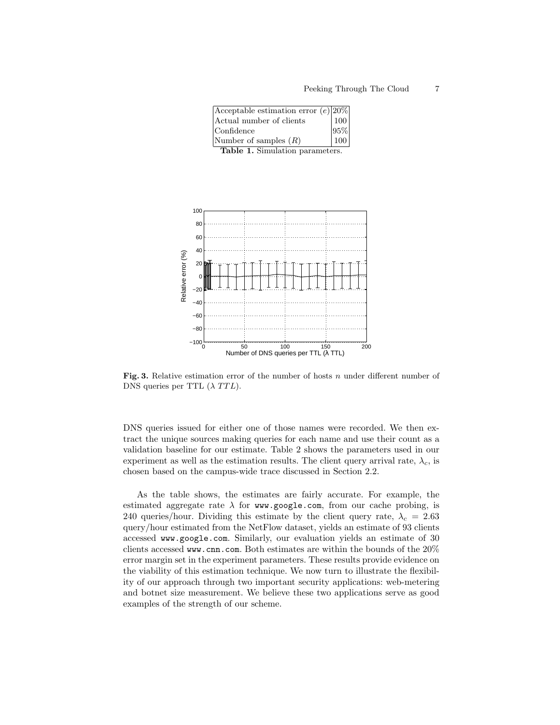| $ $ Acceptable estimation error $(e) 20\% $ |                   |  |
|---------------------------------------------|-------------------|--|
| Actual number of clients                    | $\vert 100 \vert$ |  |
| Confidence                                  | $ 95\% $          |  |
| Number of samples $(R)$                     | 100               |  |
| $T1 - 1 - 1 - 1 - 0$<br>-- - -- - -- -      |                   |  |

Table 1. Simulation parameters.



Fig. 3. Relative estimation error of the number of hosts  $n$  under different number of DNS queries per TTL  $(\lambda TTL)$ .

DNS queries issued for either one of those names were recorded. We then extract the unique sources making queries for each name and use their count as a validation baseline for our estimate. Table 2 shows the parameters used in our experiment as well as the estimation results. The client query arrival rate,  $\lambda_c$ , is chosen based on the campus-wide trace discussed in Section 2.2.

As the table shows, the estimates are fairly accurate. For example, the estimated aggregate rate  $\lambda$  for www.google.com, from our cache probing, is 240 queries/hour. Dividing this estimate by the client query rate,  $\lambda_c = 2.63$ query/hour estimated from the NetFlow dataset, yields an estimate of 93 clients accessed www.google.com. Similarly, our evaluation yields an estimate of 30 clients accessed www.cnn.com. Both estimates are within the bounds of the 20% error margin set in the experiment parameters. These results provide evidence on the viability of this estimation technique. We now turn to illustrate the flexibility of our approach through two important security applications: web-metering and botnet size measurement. We believe these two applications serve as good examples of the strength of our scheme.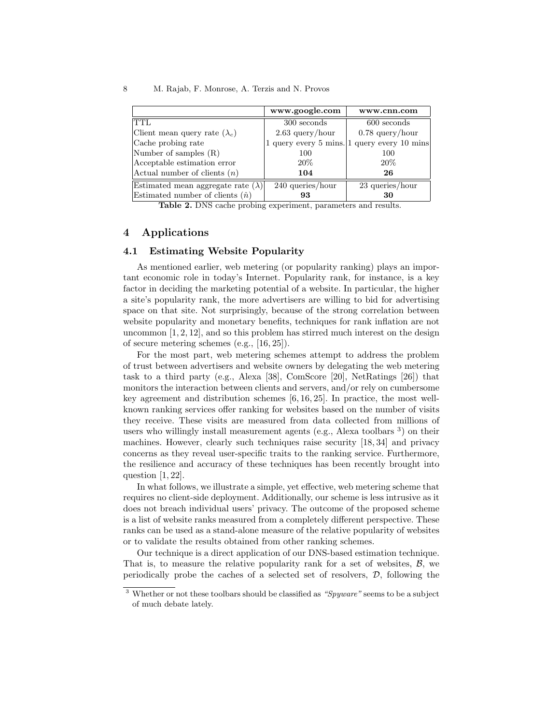#### 8 M. Rajab, F. Monrose, A. Terzis and N. Provos

|                                           | www.google.com     | www.cnn.com                                 |
|-------------------------------------------|--------------------|---------------------------------------------|
| <b>TTL</b>                                | 300 seconds        | 600 seconds                                 |
| Client mean query rate $(\lambda_c)$      | $2.63$ query/hour  | $0.78$ query/hour                           |
| Cache probing rate                        |                    | 1 query every 5 mins. 1 query every 10 mins |
| Number of samples (R)                     | 100                | 100                                         |
| Acceptable estimation error               | $20\%$             | $20\%$                                      |
| Actual number of clients $(n)$            | 104                | 26                                          |
| Estimated mean aggregate rate $(\lambda)$ | $240$ queries/hour | 23 queries/hour                             |
| Estimated number of clients $(\hat{n})$   | 93                 | 30                                          |

Table 2. DNS cache probing experiment, parameters and results.

## 4 Applications

# 4.1 Estimating Website Popularity

As mentioned earlier, web metering (or popularity ranking) plays an important economic role in today's Internet. Popularity rank, for instance, is a key factor in deciding the marketing potential of a website. In particular, the higher a site's popularity rank, the more advertisers are willing to bid for advertising space on that site. Not surprisingly, because of the strong correlation between website popularity and monetary benefits, techniques for rank inflation are not uncommon  $[1, 2, 12]$ , and so this problem has stirred much interest on the design of secure metering schemes (e.g., [16, 25]).

For the most part, web metering schemes attempt to address the problem of trust between advertisers and website owners by delegating the web metering task to a third party (e.g., Alexa [38], ComScore [20], NetRatings [26]) that monitors the interaction between clients and servers, and/or rely on cumbersome key agreement and distribution schemes [6, 16, 25]. In practice, the most wellknown ranking services offer ranking for websites based on the number of visits they receive. These visits are measured from data collected from millions of users who willingly install measurement agents (e.g., Alexa toolbars <sup>3</sup>) on their machines. However, clearly such techniques raise security [18, 34] and privacy concerns as they reveal user-specific traits to the ranking service. Furthermore, the resilience and accuracy of these techniques has been recently brought into question  $[1, 22]$ .

In what follows, we illustrate a simple, yet effective, web metering scheme that requires no client-side deployment. Additionally, our scheme is less intrusive as it does not breach individual users' privacy. The outcome of the proposed scheme is a list of website ranks measured from a completely different perspective. These ranks can be used as a stand-alone measure of the relative popularity of websites or to validate the results obtained from other ranking schemes.

Our technique is a direct application of our DNS-based estimation technique. That is, to measure the relative popularity rank for a set of websites,  $\beta$ , we periodically probe the caches of a selected set of resolvers,  $D$ , following the

 $3$  Whether or not these toolbars should be classified as "Spyware" seems to be a subject of much debate lately.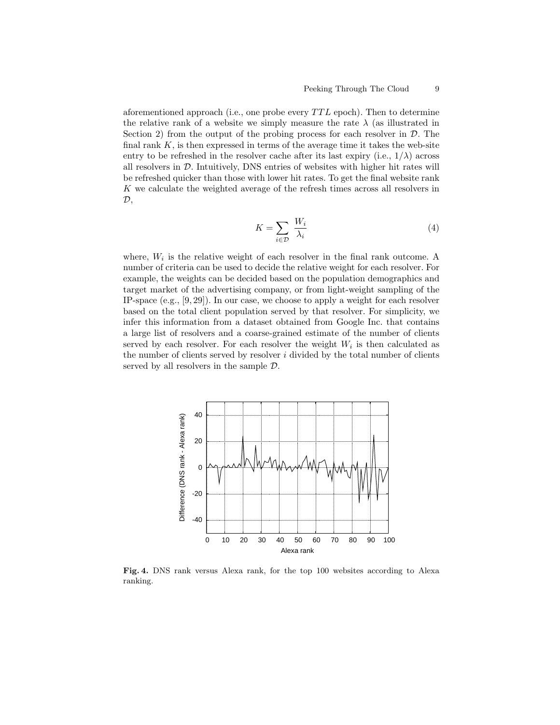aforementioned approach (i.e., one probe every  $TTL$  epoch). Then to determine the relative rank of a website we simply measure the rate  $\lambda$  (as illustrated in Section 2) from the output of the probing process for each resolver in  $\mathcal{D}$ . The final rank  $K$ , is then expressed in terms of the average time it takes the web-site entry to be refreshed in the resolver cache after its last expiry (i.e.,  $1/\lambda$ ) across all resolvers in D. Intuitively, DNS entries of websites with higher hit rates will be refreshed quicker than those with lower hit rates. To get the final website rank K we calculate the weighted average of the refresh times across all resolvers in  $\mathcal{D},$ 

$$
K = \sum_{i \in \mathcal{D}} \frac{W_i}{\lambda_i} \tag{4}
$$

where,  $W_i$  is the relative weight of each resolver in the final rank outcome. A number of criteria can be used to decide the relative weight for each resolver. For example, the weights can be decided based on the population demographics and target market of the advertising company, or from light-weight sampling of the IP-space (e.g., [9, 29]). In our case, we choose to apply a weight for each resolver based on the total client population served by that resolver. For simplicity, we infer this information from a dataset obtained from Google Inc. that contains a large list of resolvers and a coarse-grained estimate of the number of clients served by each resolver. For each resolver the weight  $W_i$  is then calculated as the number of clients served by resolver  $i$  divided by the total number of clients served by all resolvers in the sample D.



Fig. 4. DNS rank versus Alexa rank, for the top 100 websites according to Alexa ranking.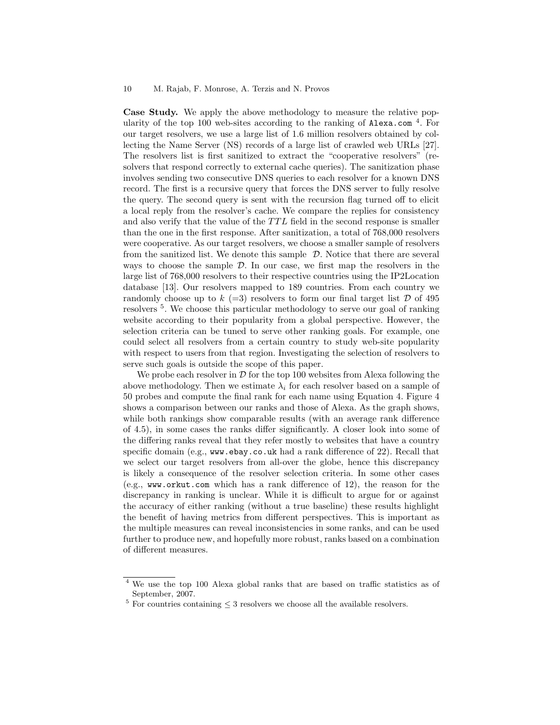Case Study. We apply the above methodology to measure the relative popularity of the top 100 web-sites according to the ranking of Alexa.com<sup>4</sup>. For our target resolvers, we use a large list of 1.6 million resolvers obtained by collecting the Name Server (NS) records of a large list of crawled web URLs [27]. The resolvers list is first sanitized to extract the "cooperative resolvers" (resolvers that respond correctly to external cache queries). The sanitization phase involves sending two consecutive DNS queries to each resolver for a known DNS record. The first is a recursive query that forces the DNS server to fully resolve the query. The second query is sent with the recursion flag turned off to elicit a local reply from the resolver's cache. We compare the replies for consistency and also verify that the value of the  $TTL$  field in the second response is smaller than the one in the first response. After sanitization, a total of 768,000 resolvers were cooperative. As our target resolvers, we choose a smaller sample of resolvers from the sanitized list. We denote this sample  $\mathcal{D}$ . Notice that there are several ways to choose the sample  $\mathcal{D}$ . In our case, we first map the resolvers in the large list of 768,000 resolvers to their respective countries using the IP2Location database [13]. Our resolvers mapped to 189 countries. From each country we randomly choose up to  $k$  (=3) resolvers to form our final target list  $\mathcal D$  of 495 resolvers<sup>5</sup>. We choose this particular methodology to serve our goal of ranking website according to their popularity from a global perspective. However, the selection criteria can be tuned to serve other ranking goals. For example, one could select all resolvers from a certain country to study web-site popularity with respect to users from that region. Investigating the selection of resolvers to serve such goals is outside the scope of this paper.

We probe each resolver in  $\mathcal D$  for the top 100 websites from Alexa following the above methodology. Then we estimate  $\lambda_i$  for each resolver based on a sample of 50 probes and compute the final rank for each name using Equation 4. Figure 4 shows a comparison between our ranks and those of Alexa. As the graph shows, while both rankings show comparable results (with an average rank difference of 4.5), in some cases the ranks differ significantly. A closer look into some of the differing ranks reveal that they refer mostly to websites that have a country specific domain (e.g., www.ebay.co.uk had a rank difference of 22). Recall that we select our target resolvers from all-over the globe, hence this discrepancy is likely a consequence of the resolver selection criteria. In some other cases (e.g., www.orkut.com which has a rank difference of 12), the reason for the discrepancy in ranking is unclear. While it is difficult to argue for or against the accuracy of either ranking (without a true baseline) these results highlight the benefit of having metrics from different perspectives. This is important as the multiple measures can reveal inconsistencies in some ranks, and can be used further to produce new, and hopefully more robust, ranks based on a combination of different measures.

<sup>4</sup> We use the top 100 Alexa global ranks that are based on traffic statistics as of September, 2007.

 $5$  For countries containing  $\leq 3$  resolvers we choose all the available resolvers.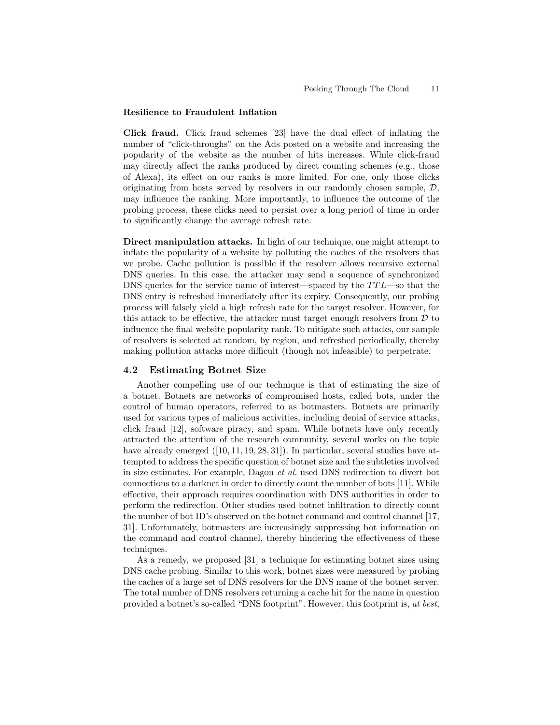#### Resilience to Fraudulent Inflation

Click fraud. Click fraud schemes [23] have the dual effect of inflating the number of "click-throughs" on the Ads posted on a website and increasing the popularity of the website as the number of hits increases. While click-fraud may directly affect the ranks produced by direct counting schemes (e.g., those of Alexa), its effect on our ranks is more limited. For one, only those clicks originating from hosts served by resolvers in our randomly chosen sample,  $\mathcal{D}$ , may influence the ranking. More importantly, to influence the outcome of the probing process, these clicks need to persist over a long period of time in order to significantly change the average refresh rate.

Direct manipulation attacks. In light of our technique, one might attempt to inflate the popularity of a website by polluting the caches of the resolvers that we probe. Cache pollution is possible if the resolver allows recursive external DNS queries. In this case, the attacker may send a sequence of synchronized DNS queries for the service name of interest—spaced by the  $TTL$ —so that the DNS entry is refreshed immediately after its expiry. Consequently, our probing process will falsely yield a high refresh rate for the target resolver. However, for this attack to be effective, the attacker must target enough resolvers from  $\mathcal D$  to influence the final website popularity rank. To mitigate such attacks, our sample of resolvers is selected at random, by region, and refreshed periodically, thereby making pollution attacks more difficult (though not infeasible) to perpetrate.

## 4.2 Estimating Botnet Size

Another compelling use of our technique is that of estimating the size of a botnet. Botnets are networks of compromised hosts, called bots, under the control of human operators, referred to as botmasters. Botnets are primarily used for various types of malicious activities, including denial of service attacks, click fraud [12], software piracy, and spam. While botnets have only recently attracted the attention of the research community, several works on the topic have already emerged  $([10, 11, 19, 28, 31])$ . In particular, several studies have attempted to address the specific question of botnet size and the subtleties involved in size estimates. For example, Dagon et al. used DNS redirection to divert bot connections to a darknet in order to directly count the number of bots [11]. While effective, their approach requires coordination with DNS authorities in order to perform the redirection. Other studies used botnet infiltration to directly count the number of bot ID's observed on the botnet command and control channel [17, 31]. Unfortunately, botmasters are increasingly suppressing bot information on the command and control channel, thereby hindering the effectiveness of these techniques.

As a remedy, we proposed [31] a technique for estimating botnet sizes using DNS cache probing. Similar to this work, botnet sizes were measured by probing the caches of a large set of DNS resolvers for the DNS name of the botnet server. The total number of DNS resolvers returning a cache hit for the name in question provided a botnet's so-called "DNS footprint". However, this footprint is, at best,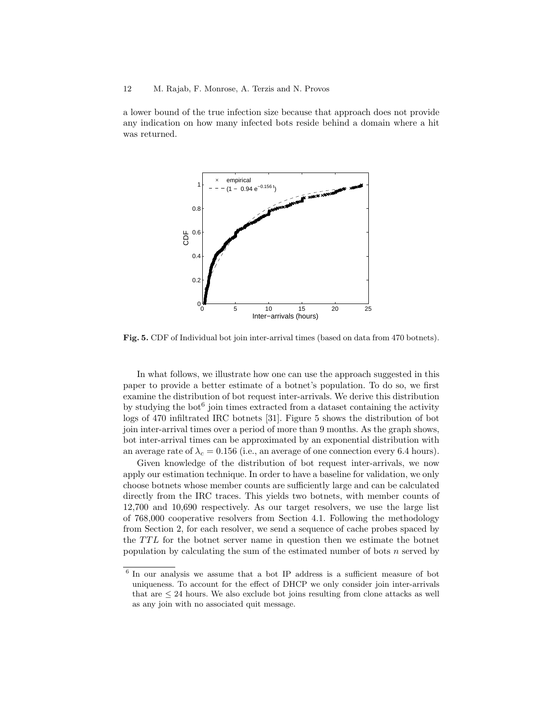#### 12 M. Rajab, F. Monrose, A. Terzis and N. Provos

a lower bound of the true infection size because that approach does not provide any indication on how many infected bots reside behind a domain where a hit was returned.



Fig. 5. CDF of Individual bot join inter-arrival times (based on data from 470 botnets).

In what follows, we illustrate how one can use the approach suggested in this paper to provide a better estimate of a botnet's population. To do so, we first examine the distribution of bot request inter-arrivals. We derive this distribution by studying the bot<sup>6</sup> join times extracted from a dataset containing the activity logs of 470 infiltrated IRC botnets [31]. Figure 5 shows the distribution of bot join inter-arrival times over a period of more than 9 months. As the graph shows, bot inter-arrival times can be approximated by an exponential distribution with an average rate of  $\lambda_c = 0.156$  (i.e., an average of one connection every 6.4 hours).

Given knowledge of the distribution of bot request inter-arrivals, we now apply our estimation technique. In order to have a baseline for validation, we only choose botnets whose member counts are sufficiently large and can be calculated directly from the IRC traces. This yields two botnets, with member counts of 12,700 and 10,690 respectively. As our target resolvers, we use the large list of 768,000 cooperative resolvers from Section 4.1. Following the methodology from Section 2, for each resolver, we send a sequence of cache probes spaced by the TTL for the botnet server name in question then we estimate the botnet population by calculating the sum of the estimated number of bots  $n$  served by

<sup>&</sup>lt;sup>6</sup> In our analysis we assume that a bot IP address is a sufficient measure of bot uniqueness. To account for the effect of DHCP we only consider join inter-arrivals that are  $\leq$  24 hours. We also exclude bot joins resulting from clone attacks as well as any join with no associated quit message.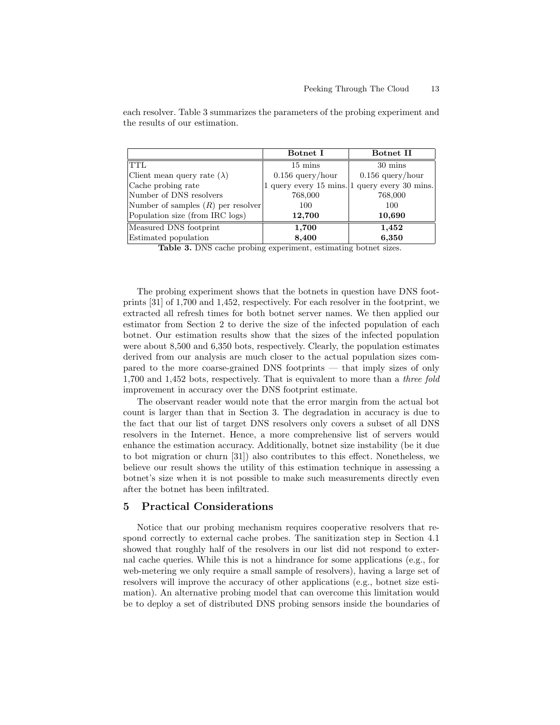|                                      | Botnet I           | Botnet II                                   |
|--------------------------------------|--------------------|---------------------------------------------|
| <b>TTL</b>                           | $15 \text{ mins}$  | 30 mins                                     |
| Client mean query rate $(\lambda)$   | $0.156$ query/hour | $0.156$ query/hour                          |
| Cache probing rate                   |                    | query every 15 mins. 1 query every 30 mins. |
| Number of DNS resolvers              | 768,000            | 768,000                                     |
| Number of samples $(R)$ per resolver | 100                | 100                                         |
| Population size (from IRC logs)      | 12,700             | 10,690                                      |
| Measured DNS footprint               | 1,700              | 1,452                                       |
| Estimated population<br>_ _ _        | 8,400              | 6,350                                       |

each resolver. Table 3 summarizes the parameters of the probing experiment and the results of our estimation.

Table 3. DNS cache probing experiment, estimating botnet sizes.

The probing experiment shows that the botnets in question have DNS footprints [31] of 1,700 and 1,452, respectively. For each resolver in the footprint, we extracted all refresh times for both botnet server names. We then applied our estimator from Section 2 to derive the size of the infected population of each botnet. Our estimation results show that the sizes of the infected population were about 8,500 and 6,350 bots, respectively. Clearly, the population estimates derived from our analysis are much closer to the actual population sizes compared to the more coarse-grained DNS footprints — that imply sizes of only 1,700 and 1,452 bots, respectively. That is equivalent to more than a three fold improvement in accuracy over the DNS footprint estimate.

The observant reader would note that the error margin from the actual bot count is larger than that in Section 3. The degradation in accuracy is due to the fact that our list of target DNS resolvers only covers a subset of all DNS resolvers in the Internet. Hence, a more comprehensive list of servers would enhance the estimation accuracy. Additionally, botnet size instability (be it due to bot migration or churn [31]) also contributes to this effect. Nonetheless, we believe our result shows the utility of this estimation technique in assessing a botnet's size when it is not possible to make such measurements directly even after the botnet has been infiltrated.

# 5 Practical Considerations

Notice that our probing mechanism requires cooperative resolvers that respond correctly to external cache probes. The sanitization step in Section 4.1 showed that roughly half of the resolvers in our list did not respond to external cache queries. While this is not a hindrance for some applications (e.g., for web-metering we only require a small sample of resolvers), having a large set of resolvers will improve the accuracy of other applications (e.g., botnet size estimation). An alternative probing model that can overcome this limitation would be to deploy a set of distributed DNS probing sensors inside the boundaries of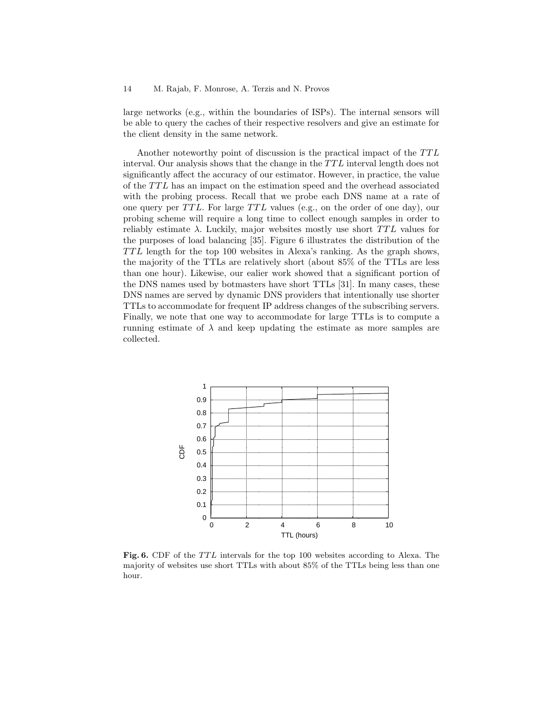large networks (e.g., within the boundaries of ISPs). The internal sensors will be able to query the caches of their respective resolvers and give an estimate for the client density in the same network.

Another noteworthy point of discussion is the practical impact of the  $TTL$ interval. Our analysis shows that the change in the  $TTL$  interval length does not significantly affect the accuracy of our estimator. However, in practice, the value of the TTL has an impact on the estimation speed and the overhead associated with the probing process. Recall that we probe each DNS name at a rate of one query per TTL. For large TTL values (e.g., on the order of one day), our probing scheme will require a long time to collect enough samples in order to reliably estimate  $\lambda$ . Luckily, major websites mostly use short TTL values for the purposes of load balancing [35]. Figure 6 illustrates the distribution of the  $TTL$  length for the top 100 websites in Alexa's ranking. As the graph shows, the majority of the TTLs are relatively short (about 85% of the TTLs are less than one hour). Likewise, our ealier work showed that a significant portion of the DNS names used by botmasters have short TTLs [31]. In many cases, these DNS names are served by dynamic DNS providers that intentionally use shorter TTLs to accommodate for frequent IP address changes of the subscribing servers. Finally, we note that one way to accommodate for large TTLs is to compute a running estimate of  $\lambda$  and keep updating the estimate as more samples are collected.



Fig. 6. CDF of the  $TTL$  intervals for the top 100 websites according to Alexa. The majority of websites use short TTLs with about 85% of the TTLs being less than one hour.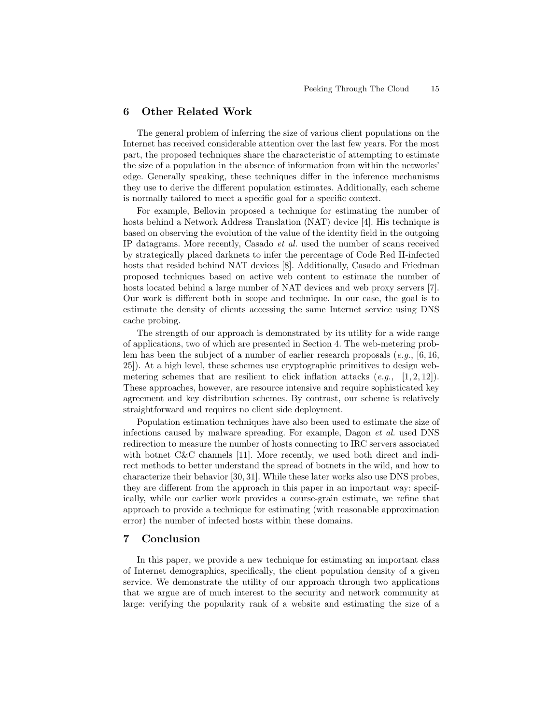## 6 Other Related Work

The general problem of inferring the size of various client populations on the Internet has received considerable attention over the last few years. For the most part, the proposed techniques share the characteristic of attempting to estimate the size of a population in the absence of information from within the networks' edge. Generally speaking, these techniques differ in the inference mechanisms they use to derive the different population estimates. Additionally, each scheme is normally tailored to meet a specific goal for a specific context.

For example, Bellovin proposed a technique for estimating the number of hosts behind a Network Address Translation (NAT) device [4]. His technique is based on observing the evolution of the value of the identity field in the outgoing IP datagrams. More recently, Casado et al. used the number of scans received by strategically placed darknets to infer the percentage of Code Red II-infected hosts that resided behind NAT devices [8]. Additionally, Casado and Friedman proposed techniques based on active web content to estimate the number of hosts located behind a large number of NAT devices and web proxy servers [7]. Our work is different both in scope and technique. In our case, the goal is to estimate the density of clients accessing the same Internet service using DNS cache probing.

The strength of our approach is demonstrated by its utility for a wide range of applications, two of which are presented in Section 4. The web-metering problem has been the subject of a number of earlier research proposals  $(e,q, [6, 16,$ 25]). At a high level, these schemes use cryptographic primitives to design webmetering schemes that are resilient to click inflation attacks  $(e,q, [1, 2, 12])$ . These approaches, however, are resource intensive and require sophisticated key agreement and key distribution schemes. By contrast, our scheme is relatively straightforward and requires no client side deployment.

Population estimation techniques have also been used to estimate the size of infections caused by malware spreading. For example, Dagon et al. used DNS redirection to measure the number of hosts connecting to IRC servers associated with botnet C&C channels [11]. More recently, we used both direct and indirect methods to better understand the spread of botnets in the wild, and how to characterize their behavior [30, 31]. While these later works also use DNS probes, they are different from the approach in this paper in an important way: specifically, while our earlier work provides a course-grain estimate, we refine that approach to provide a technique for estimating (with reasonable approximation error) the number of infected hosts within these domains.

# 7 Conclusion

In this paper, we provide a new technique for estimating an important class of Internet demographics, specifically, the client population density of a given service. We demonstrate the utility of our approach through two applications that we argue are of much interest to the security and network community at large: verifying the popularity rank of a website and estimating the size of a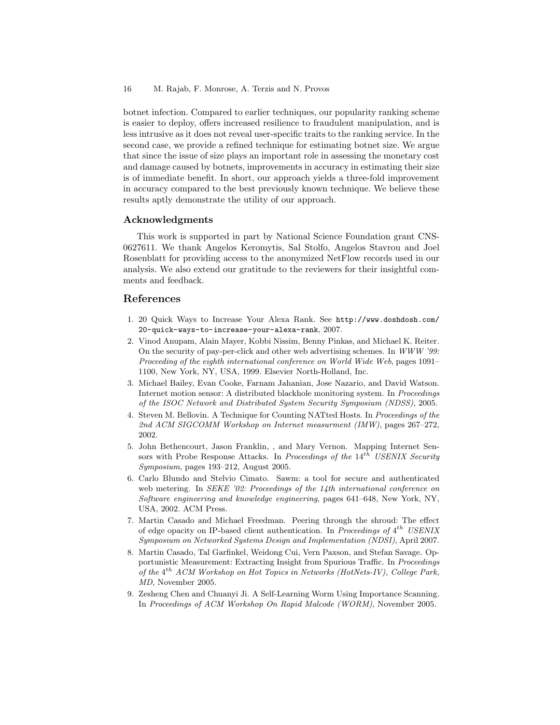botnet infection. Compared to earlier techniques, our popularity ranking scheme is easier to deploy, offers increased resilience to fraudulent manipulation, and is less intrusive as it does not reveal user-specific traits to the ranking service. In the second case, we provide a refined technique for estimating botnet size. We argue that since the issue of size plays an important role in assessing the monetary cost and damage caused by botnets, improvements in accuracy in estimating their size is of immediate benefit. In short, our approach yields a three-fold improvement in accuracy compared to the best previously known technique. We believe these results aptly demonstrate the utility of our approach.

### Acknowledgments

This work is supported in part by National Science Foundation grant CNS-0627611. We thank Angelos Keromytis, Sal Stolfo, Angelos Stavrou and Joel Rosenblatt for providing access to the anonymized NetFlow records used in our analysis. We also extend our gratitude to the reviewers for their insightful comments and feedback.

# References

- 1. 20 Quick Ways to Increase Your Alexa Rank. See http://www.doshdosh.com/ 20-quick-ways-to-increase-your-alexa-rank, 2007.
- 2. Vinod Anupam, Alain Mayer, Kobbi Nissim, Benny Pinkas, and Michael K. Reiter. On the security of pay-per-click and other web advertising schemes. In WWW '99: Proceeding of the eighth international conference on World Wide Web, pages 1091– 1100, New York, NY, USA, 1999. Elsevier North-Holland, Inc.
- 3. Michael Bailey, Evan Cooke, Farnam Jahanian, Jose Nazario, and David Watson. Internet motion sensor: A distributed blackhole monitoring system. In Proceedings of the ISOC Network and Distributed System Security Symposium (NDSS), 2005.
- 4. Steven M. Bellovin. A Technique for Counting NATted Hosts. In Proceedings of the 2nd ACM SIGCOMM Workshop on Internet measurment (IMW), pages 267–272, 2002.
- 5. John Bethencourt, Jason Franklin, , and Mary Vernon. Mapping Internet Sensors with Probe Response Attacks. In *Proceedings of the*  $14^{th}$  USENIX Security Symposium, pages 193–212, August 2005.
- 6. Carlo Blundo and Stelvio Cimato. Sawm: a tool for secure and authenticated web metering. In SEKE '02: Proceedings of the 14th international conference on Software engineering and knowledge engineering, pages 641–648, New York, NY, USA, 2002. ACM Press.
- 7. Martin Casado and Michael Freedman. Peering through the shroud: The effect of edge opacity on IP-based client authentication. In *Proceedings of*  $4^{th}$  USENIX Symposium on Networked Systems Design and Implementation (NDSI), April 2007.
- 8. Martin Casado, Tal Garfinkel, Weidong Cui, Vern Paxson, and Stefan Savage. Opportunistic Measurement: Extracting Insight from Spurious Traffic. In Proceedings of the 4<sup>th</sup> ACM Workshop on Hot Topics in Networks (HotNets-IV), College Park, MD, November 2005.
- 9. Zesheng Chen and Chuanyi Ji. A Self-Learning Worm Using Importance Scanning. In Proceedings of ACM Workshop On Rapid Malcode (WORM), November 2005.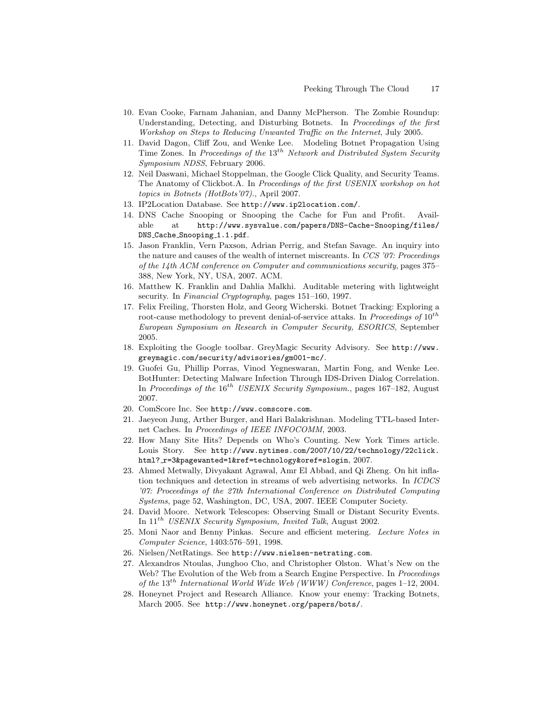- 10. Evan Cooke, Farnam Jahanian, and Danny McPherson. The Zombie Roundup: Understanding, Detecting, and Disturbing Botnets. In Proceedings of the first Workshop on Steps to Reducing Unwanted Traffic on the Internet, July 2005.
- 11. David Dagon, Cliff Zou, and Wenke Lee. Modeling Botnet Propagation Using Time Zones. In Proceedings of the  $13^{th}$  Network and Distributed System Security Symposium NDSS, February 2006.
- 12. Neil Daswani, Michael Stoppelman, the Google Click Quality, and Security Teams. The Anatomy of Clickbot.A. In Proceedings of the first USENIX workshop on hot topics in Botnets (HotBots'07)., April 2007.
- 13. IP2Location Database. See http://www.ip2location.com/.
- 14. DNS Cache Snooping or Snooping the Cache for Fun and Profit. Available at http://www.sysvalue.com/papers/DNS-Cache-Snooping/files/ DNS Cache Snooping 1.1.pdf.
- 15. Jason Franklin, Vern Paxson, Adrian Perrig, and Stefan Savage. An inquiry into the nature and causes of the wealth of internet miscreants. In CCS '07: Proceedings of the 14th ACM conference on Computer and communications security, pages 375– 388, New York, NY, USA, 2007. ACM.
- 16. Matthew K. Franklin and Dahlia Malkhi. Auditable metering with lightweight security. In Financial Cryptography, pages 151-160, 1997.
- 17. Felix Freiling, Thorsten Holz, and Georg Wicherski. Botnet Tracking: Exploring a root-cause methodology to prevent denial-of-service attaks. In Proceedings of  $10^{th}$ European Symposium on Research in Computer Security, ESORICS, September 2005.
- 18. Exploiting the Google toolbar. GreyMagic Security Advisory. See http://www. greymagic.com/security/advisories/gm001-mc/.
- 19. Guofei Gu, Phillip Porras, Vinod Yegneswaran, Martin Fong, and Wenke Lee. BotHunter: Detecting Malware Infection Through IDS-Driven Dialog Correlation. In Proceedings of the  $16^{th}$  USENIX Security Symposium., pages 167-182, August 2007.
- 20. ComScore Inc. See http://www.comscore.com.
- 21. Jaeyeon Jung, Arther Burger, and Hari Balakrishnan. Modeling TTL-based Internet Caches. In Proceedings of IEEE INFOCOMM, 2003.
- 22. How Many Site Hits? Depends on Who's Counting. New York Times article. Louis Story. See http://www.nytimes.com/2007/10/22/technology/22click. html? r=3&pagewanted=1&ref=technology&oref=slogin, 2007.
- 23. Ahmed Metwally, Divyakant Agrawal, Amr El Abbad, and Qi Zheng. On hit inflation techniques and detection in streams of web advertising networks. In ICDCS '07: Proceedings of the 27th International Conference on Distributed Computing Systems, page 52, Washington, DC, USA, 2007. IEEE Computer Society.
- 24. David Moore. Network Telescopes: Observing Small or Distant Security Events. In  $11^{th}$  USENIX Security Symposium, Invited Talk, August 2002.
- 25. Moni Naor and Benny Pinkas. Secure and efficient metering. Lecture Notes in Computer Science, 1403:576–591, 1998.
- 26. Nielsen/NetRatings. See http://www.nielsen-netrating.com.
- 27. Alexandros Ntoulas, Junghoo Cho, and Christopher Olston. What's New on the Web? The Evolution of the Web from a Search Engine Perspective. In Proceedings of the  $13^{th}$  International World Wide Web (WWW) Conference, pages 1–12, 2004.
- 28. Honeynet Project and Research Alliance. Know your enemy: Tracking Botnets, March 2005. See http://www.honeynet.org/papers/bots/.